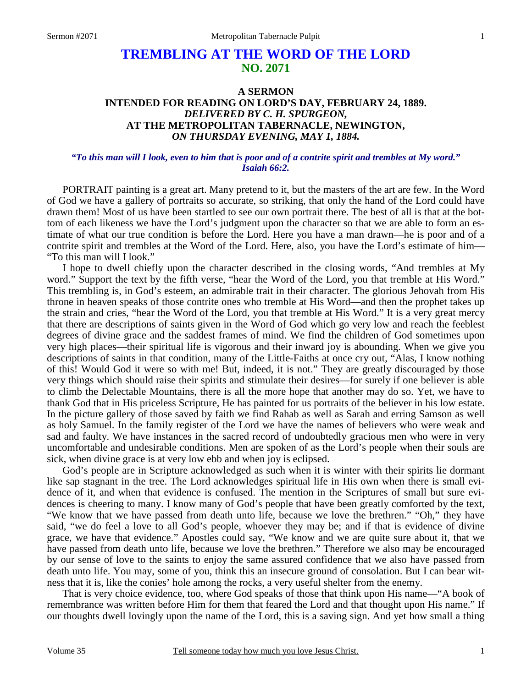# **TREMBLING AT THE WORD OF THE LORD NO. 2071**

## **A SERMON INTENDED FOR READING ON LORD'S DAY, FEBRUARY 24, 1889.**  *DELIVERED BY C. H. SPURGEON,*  **AT THE METROPOLITAN TABERNACLE, NEWINGTON,**  *ON THURSDAY EVENING, MAY 1, 1884.*

#### *"To this man will I look, even to him that is poor and of a contrite spirit and trembles at My word." Isaiah 66:2.*

PORTRAIT painting is a great art. Many pretend to it, but the masters of the art are few. In the Word of God we have a gallery of portraits so accurate, so striking, that only the hand of the Lord could have drawn them! Most of us have been startled to see our own portrait there. The best of all is that at the bottom of each likeness we have the Lord's judgment upon the character so that we are able to form an estimate of what our true condition is before the Lord. Here you have a man drawn—he is poor and of a contrite spirit and trembles at the Word of the Lord. Here, also, you have the Lord's estimate of him— "To this man will I look."

I hope to dwell chiefly upon the character described in the closing words, "And trembles at My word." Support the text by the fifth verse, "hear the Word of the Lord, you that tremble at His Word." This trembling is, in God's esteem, an admirable trait in their character. The glorious Jehovah from His throne in heaven speaks of those contrite ones who tremble at His Word—and then the prophet takes up the strain and cries, "hear the Word of the Lord, you that tremble at His Word." It is a very great mercy that there are descriptions of saints given in the Word of God which go very low and reach the feeblest degrees of divine grace and the saddest frames of mind. We find the children of God sometimes upon very high places—their spiritual life is vigorous and their inward joy is abounding. When we give you descriptions of saints in that condition, many of the Little-Faiths at once cry out, "Alas, I know nothing of this! Would God it were so with me! But, indeed, it is not." They are greatly discouraged by those very things which should raise their spirits and stimulate their desires—for surely if one believer is able to climb the Delectable Mountains, there is all the more hope that another may do so. Yet, we have to thank God that in His priceless Scripture, He has painted for us portraits of the believer in his low estate. In the picture gallery of those saved by faith we find Rahab as well as Sarah and erring Samson as well as holy Samuel. In the family register of the Lord we have the names of believers who were weak and sad and faulty. We have instances in the sacred record of undoubtedly gracious men who were in very uncomfortable and undesirable conditions. Men are spoken of as the Lord's people when their souls are sick, when divine grace is at very low ebb and when joy is eclipsed.

God's people are in Scripture acknowledged as such when it is winter with their spirits lie dormant like sap stagnant in the tree. The Lord acknowledges spiritual life in His own when there is small evidence of it, and when that evidence is confused. The mention in the Scriptures of small but sure evidences is cheering to many. I know many of God's people that have been greatly comforted by the text, "We know that we have passed from death unto life, because we love the brethren." "Oh," they have said, "we do feel a love to all God's people, whoever they may be; and if that is evidence of divine grace, we have that evidence." Apostles could say, "We know and we are quite sure about it, that we have passed from death unto life, because we love the brethren." Therefore we also may be encouraged by our sense of love to the saints to enjoy the same assured confidence that we also have passed from death unto life. You may, some of you, think this an insecure ground of consolation. But I can bear witness that it is, like the conies' hole among the rocks, a very useful shelter from the enemy.

That is very choice evidence, too, where God speaks of those that think upon His name—"A book of remembrance was written before Him for them that feared the Lord and that thought upon His name." If our thoughts dwell lovingly upon the name of the Lord, this is a saving sign. And yet how small a thing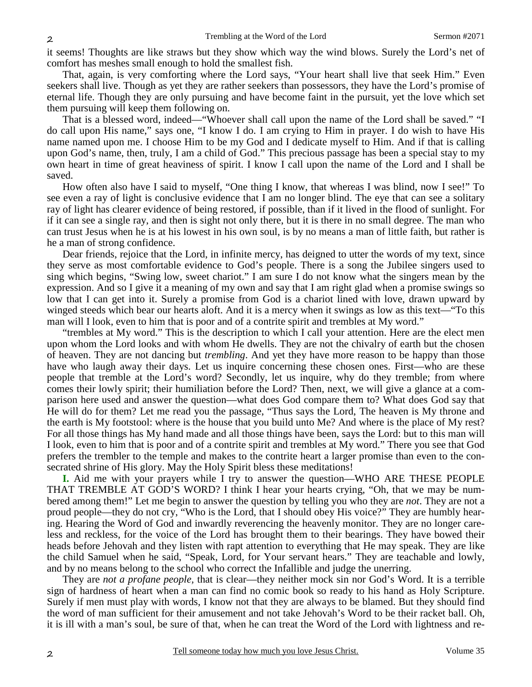it seems! Thoughts are like straws but they show which way the wind blows. Surely the Lord's net of comfort has meshes small enough to hold the smallest fish.

That, again, is very comforting where the Lord says, "Your heart shall live that seek Him." Even seekers shall live. Though as yet they are rather seekers than possessors, they have the Lord's promise of eternal life. Though they are only pursuing and have become faint in the pursuit, yet the love which set them pursuing will keep them following on.

That is a blessed word, indeed—"Whoever shall call upon the name of the Lord shall be saved." "I do call upon His name," says one, "I know I do. I am crying to Him in prayer. I do wish to have His name named upon me. I choose Him to be my God and I dedicate myself to Him. And if that is calling upon God's name, then, truly, I am a child of God." This precious passage has been a special stay to my own heart in time of great heaviness of spirit. I know I call upon the name of the Lord and I shall be saved.

How often also have I said to myself, "One thing I know, that whereas I was blind, now I see!" To see even a ray of light is conclusive evidence that I am no longer blind. The eye that can see a solitary ray of light has clearer evidence of being restored, if possible, than if it lived in the flood of sunlight. For if it can see a single ray, and then is sight not only there, but it is there in no small degree. The man who can trust Jesus when he is at his lowest in his own soul, is by no means a man of little faith, but rather is he a man of strong confidence.

Dear friends, rejoice that the Lord, in infinite mercy, has deigned to utter the words of my text, since they serve as most comfortable evidence to God's people. There is a song the Jubilee singers used to sing which begins, "Swing low, sweet chariot." I am sure I do not know what the singers mean by the expression. And so I give it a meaning of my own and say that I am right glad when a promise swings so low that I can get into it. Surely a promise from God is a chariot lined with love, drawn upward by winged steeds which bear our hearts aloft. And it is a mercy when it swings as low as this text—"To this man will I look, even to him that is poor and of a contrite spirit and trembles at My word."

"trembles at My word." This is the description to which I call your attention. Here are the elect men upon whom the Lord looks and with whom He dwells. They are not the chivalry of earth but the chosen of heaven. They are not dancing but *trembling*. And yet they have more reason to be happy than those have who laugh away their days. Let us inquire concerning these chosen ones. First—who are these people that tremble at the Lord's word? Secondly, let us inquire, why do they tremble; from where comes their lowly spirit; their humiliation before the Lord? Then, next, we will give a glance at a comparison here used and answer the question—what does God compare them to? What does God say that He will do for them? Let me read you the passage, "Thus says the Lord, The heaven is My throne and the earth is My footstool: where is the house that you build unto Me? And where is the place of My rest? For all those things has My hand made and all those things have been, says the Lord: but to this man will I look, even to him that is poor and of a contrite spirit and trembles at My word." There you see that God prefers the trembler to the temple and makes to the contrite heart a larger promise than even to the consecrated shrine of His glory. May the Holy Spirit bless these meditations!

**I.** Aid me with your prayers while I try to answer the question—WHO ARE THESE PEOPLE THAT TREMBLE AT GOD'S WORD? I think I hear your hearts crying, "Oh, that we may be numbered among them!" Let me begin to answer the question by telling you who they are *not*. They are not a proud people—they do not cry, "Who is the Lord, that I should obey His voice?" They are humbly hearing. Hearing the Word of God and inwardly reverencing the heavenly monitor. They are no longer careless and reckless, for the voice of the Lord has brought them to their bearings. They have bowed their heads before Jehovah and they listen with rapt attention to everything that He may speak. They are like the child Samuel when he said, "Speak, Lord, for Your servant hears." They are teachable and lowly, and by no means belong to the school who correct the Infallible and judge the unerring.

They are *not a profane people,* that is clear—they neither mock sin nor God's Word. It is a terrible sign of hardness of heart when a man can find no comic book so ready to his hand as Holy Scripture. Surely if men must play with words, I know not that they are always to be blamed. But they should find the word of man sufficient for their amusement and not take Jehovah's Word to be their racket ball. Oh, it is ill with a man's soul, be sure of that, when he can treat the Word of the Lord with lightness and re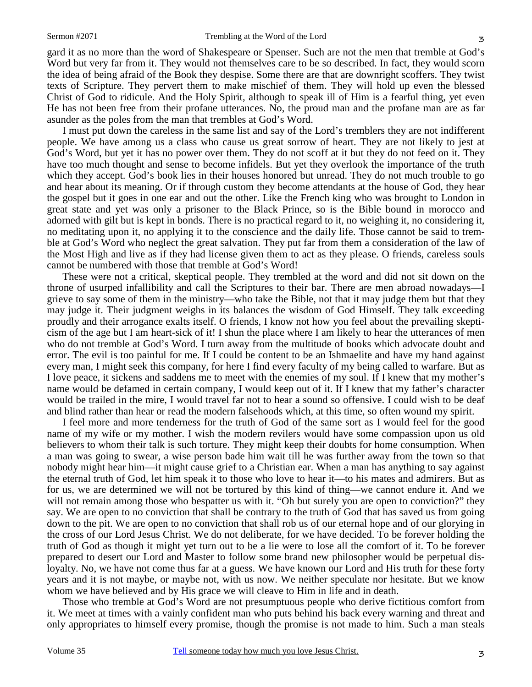gard it as no more than the word of Shakespeare or Spenser. Such are not the men that tremble at God's Word but very far from it. They would not themselves care to be so described. In fact, they would scorn the idea of being afraid of the Book they despise. Some there are that are downright scoffers. They twist texts of Scripture. They pervert them to make mischief of them. They will hold up even the blessed Christ of God to ridicule. And the Holy Spirit, although to speak ill of Him is a fearful thing, yet even He has not been free from their profane utterances. No, the proud man and the profane man are as far asunder as the poles from the man that trembles at God's Word.

I must put down the careless in the same list and say of the Lord's tremblers they are not indifferent people. We have among us a class who cause us great sorrow of heart. They are not likely to jest at God's Word, but yet it has no power over them. They do not scoff at it but they do not feed on it. They have too much thought and sense to become infidels. But yet they overlook the importance of the truth which they accept. God's book lies in their houses honored but unread. They do not much trouble to go and hear about its meaning. Or if through custom they become attendants at the house of God, they hear the gospel but it goes in one ear and out the other. Like the French king who was brought to London in great state and yet was only a prisoner to the Black Prince, so is the Bible bound in morocco and adorned with gilt but is kept in bonds. There is no practical regard to it, no weighing it, no considering it, no meditating upon it, no applying it to the conscience and the daily life. Those cannot be said to tremble at God's Word who neglect the great salvation. They put far from them a consideration of the law of the Most High and live as if they had license given them to act as they please. O friends, careless souls cannot be numbered with those that tremble at God's Word!

These were not a critical, skeptical people. They trembled at the word and did not sit down on the throne of usurped infallibility and call the Scriptures to their bar. There are men abroad nowadays—I grieve to say some of them in the ministry—who take the Bible, not that it may judge them but that they may judge it. Their judgment weighs in its balances the wisdom of God Himself. They talk exceeding proudly and their arrogance exalts itself. O friends, I know not how you feel about the prevailing skepticism of the age but I am heart-sick of it! I shun the place where I am likely to hear the utterances of men who do not tremble at God's Word. I turn away from the multitude of books which advocate doubt and error. The evil is too painful for me. If I could be content to be an Ishmaelite and have my hand against every man, I might seek this company, for here I find every faculty of my being called to warfare. But as I love peace, it sickens and saddens me to meet with the enemies of my soul. If I knew that my mother's name would be defamed in certain company, I would keep out of it. If I knew that my father's character would be trailed in the mire, I would travel far not to hear a sound so offensive. I could wish to be deaf and blind rather than hear or read the modern falsehoods which, at this time, so often wound my spirit.

I feel more and more tenderness for the truth of God of the same sort as I would feel for the good name of my wife or my mother. I wish the modern revilers would have some compassion upon us old believers to whom their talk is such torture. They might keep their doubts for home consumption. When a man was going to swear, a wise person bade him wait till he was further away from the town so that nobody might hear him—it might cause grief to a Christian ear. When a man has anything to say against the eternal truth of God, let him speak it to those who love to hear it—to his mates and admirers. But as for us, we are determined we will not be tortured by this kind of thing—we cannot endure it. And we will not remain among those who bespatter us with it. "Oh but surely you are open to conviction?" they say. We are open to no conviction that shall be contrary to the truth of God that has saved us from going down to the pit. We are open to no conviction that shall rob us of our eternal hope and of our glorying in the cross of our Lord Jesus Christ. We do not deliberate, for we have decided. To be forever holding the truth of God as though it might yet turn out to be a lie were to lose all the comfort of it. To be forever prepared to desert our Lord and Master to follow some brand new philosopher would be perpetual disloyalty. No, we have not come thus far at a guess. We have known our Lord and His truth for these forty years and it is not maybe, or maybe not, with us now. We neither speculate nor hesitate. But we know whom we have believed and by His grace we will cleave to Him in life and in death.

Those who tremble at God's Word are not presumptuous people who derive fictitious comfort from it. We meet at times with a vainly confident man who puts behind his back every warning and threat and only appropriates to himself every promise, though the promise is not made to him. Such a man steals

3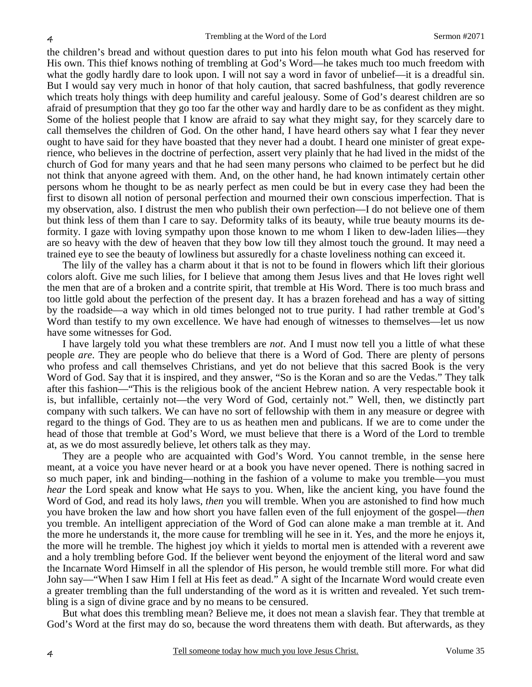the children's bread and without question dares to put into his felon mouth what God has reserved for His own. This thief knows nothing of trembling at God's Word—he takes much too much freedom with what the godly hardly dare to look upon. I will not say a word in favor of unbelief—it is a dreadful sin. But I would say very much in honor of that holy caution, that sacred bashfulness, that godly reverence which treats holy things with deep humility and careful jealousy. Some of God's dearest children are so afraid of presumption that they go too far the other way and hardly dare to be as confident as they might. Some of the holiest people that I know are afraid to say what they might say, for they scarcely dare to call themselves the children of God. On the other hand, I have heard others say what I fear they never ought to have said for they have boasted that they never had a doubt. I heard one minister of great experience, who believes in the doctrine of perfection, assert very plainly that he had lived in the midst of the church of God for many years and that he had seen many persons who claimed to be perfect but he did not think that anyone agreed with them. And, on the other hand, he had known intimately certain other persons whom he thought to be as nearly perfect as men could be but in every case they had been the first to disown all notion of personal perfection and mourned their own conscious imperfection. That is my observation, also. I distrust the men who publish their own perfection—I do not believe one of them but think less of them than I care to say. Deformity talks of its beauty, while true beauty mourns its deformity. I gaze with loving sympathy upon those known to me whom I liken to dew-laden lilies—they are so heavy with the dew of heaven that they bow low till they almost touch the ground. It may need a trained eye to see the beauty of lowliness but assuredly for a chaste loveliness nothing can exceed it.

The lily of the valley has a charm about it that is not to be found in flowers which lift their glorious colors aloft. Give me such lilies, for I believe that among them Jesus lives and that He loves right well the men that are of a broken and a contrite spirit, that tremble at His Word. There is too much brass and too little gold about the perfection of the present day. It has a brazen forehead and has a way of sitting by the roadside—a way which in old times belonged not to true purity. I had rather tremble at God's Word than testify to my own excellence. We have had enough of witnesses to themselves—let us now have some witnesses for God.

I have largely told you what these tremblers are *not*. And I must now tell you a little of what these people *are*. They are people who do believe that there is a Word of God. There are plenty of persons who profess and call themselves Christians, and yet do not believe that this sacred Book is the very Word of God. Say that it is inspired, and they answer, "So is the Koran and so are the Vedas." They talk after this fashion—"This is the religious book of the ancient Hebrew nation. A very respectable book it is, but infallible, certainly not—the very Word of God, certainly not." Well, then, we distinctly part company with such talkers. We can have no sort of fellowship with them in any measure or degree with regard to the things of God. They are to us as heathen men and publicans. If we are to come under the head of those that tremble at God's Word, we must believe that there is a Word of the Lord to tremble at, as we do most assuredly believe, let others talk as they may.

They are a people who are acquainted with God's Word. You cannot tremble, in the sense here meant, at a voice you have never heard or at a book you have never opened. There is nothing sacred in so much paper, ink and binding—nothing in the fashion of a volume to make you tremble—you must *hear* the Lord speak and know what He says to you. When, like the ancient king, you have found the Word of God, and read its holy laws, *then* you will tremble. When you are astonished to find how much you have broken the law and how short you have fallen even of the full enjoyment of the gospel—*then* you tremble. An intelligent appreciation of the Word of God can alone make a man tremble at it. And the more he understands it, the more cause for trembling will he see in it. Yes, and the more he enjoys it, the more will he tremble. The highest joy which it yields to mortal men is attended with a reverent awe and a holy trembling before God. If the believer went beyond the enjoyment of the literal word and saw the Incarnate Word Himself in all the splendor of His person, he would tremble still more. For what did John say—"When I saw Him I fell at His feet as dead." A sight of the Incarnate Word would create even a greater trembling than the full understanding of the word as it is written and revealed. Yet such trembling is a sign of divine grace and by no means to be censured.

But what does this trembling mean? Believe me, it does not mean a slavish fear. They that tremble at God's Word at the first may do so, because the word threatens them with death. But afterwards, as they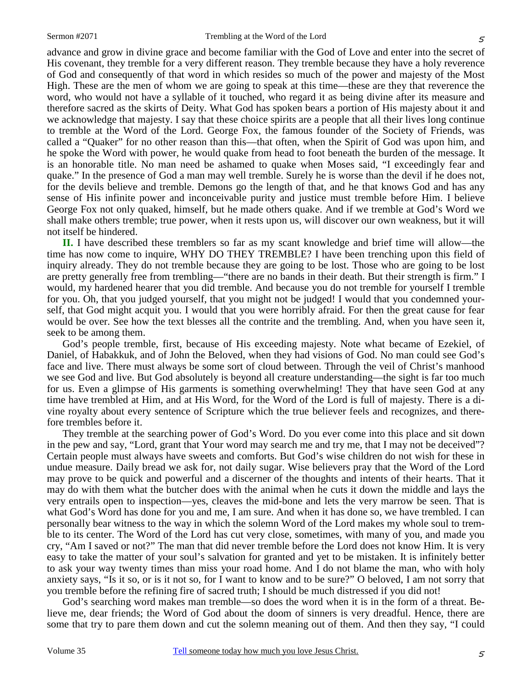5

advance and grow in divine grace and become familiar with the God of Love and enter into the secret of His covenant, they tremble for a very different reason. They tremble because they have a holy reverence of God and consequently of that word in which resides so much of the power and majesty of the Most High. These are the men of whom we are going to speak at this time—these are they that reverence the word, who would not have a syllable of it touched, who regard it as being divine after its measure and therefore sacred as the skirts of Deity. What God has spoken bears a portion of His majesty about it and we acknowledge that majesty. I say that these choice spirits are a people that all their lives long continue to tremble at the Word of the Lord. George Fox, the famous founder of the Society of Friends, was called a "Quaker" for no other reason than this—that often, when the Spirit of God was upon him, and he spoke the Word with power, he would quake from head to foot beneath the burden of the message. It is an honorable title. No man need be ashamed to quake when Moses said, "I exceedingly fear and quake." In the presence of God a man may well tremble. Surely he is worse than the devil if he does not, for the devils believe and tremble. Demons go the length of that, and he that knows God and has any sense of His infinite power and inconceivable purity and justice must tremble before Him. I believe George Fox not only quaked, himself, but he made others quake. And if we tremble at God's Word we shall make others tremble; true power, when it rests upon us, will discover our own weakness, but it will not itself be hindered.

**II.** I have described these tremblers so far as my scant knowledge and brief time will allow—the time has now come to inquire, WHY DO THEY TREMBLE? I have been trenching upon this field of inquiry already. They do not tremble because they are going to be lost. Those who are going to be lost are pretty generally free from trembling—"there are no bands in their death. But their strength is firm." I would, my hardened hearer that you did tremble. And because you do not tremble for yourself I tremble for you. Oh, that you judged yourself, that you might not be judged! I would that you condemned yourself, that God might acquit you. I would that you were horribly afraid. For then the great cause for fear would be over. See how the text blesses all the contrite and the trembling. And, when you have seen it, seek to be among them.

God's people tremble, first, because of His exceeding majesty. Note what became of Ezekiel, of Daniel, of Habakkuk, and of John the Beloved, when they had visions of God. No man could see God's face and live. There must always be some sort of cloud between. Through the veil of Christ's manhood we see God and live. But God absolutely is beyond all creature understanding—the sight is far too much for us. Even a glimpse of His garments is something overwhelming! They that have seen God at any time have trembled at Him, and at His Word, for the Word of the Lord is full of majesty. There is a divine royalty about every sentence of Scripture which the true believer feels and recognizes, and therefore trembles before it.

They tremble at the searching power of God's Word. Do you ever come into this place and sit down in the pew and say, "Lord, grant that Your word may search me and try me, that I may not be deceived"? Certain people must always have sweets and comforts. But God's wise children do not wish for these in undue measure. Daily bread we ask for, not daily sugar. Wise believers pray that the Word of the Lord may prove to be quick and powerful and a discerner of the thoughts and intents of their hearts. That it may do with them what the butcher does with the animal when he cuts it down the middle and lays the very entrails open to inspection—yes, cleaves the mid-bone and lets the very marrow be seen. That is what God's Word has done for you and me, I am sure. And when it has done so, we have trembled. I can personally bear witness to the way in which the solemn Word of the Lord makes my whole soul to tremble to its center. The Word of the Lord has cut very close, sometimes, with many of you, and made you cry, "Am I saved or not?" The man that did never tremble before the Lord does not know Him. It is very easy to take the matter of your soul's salvation for granted and yet to be mistaken. It is infinitely better to ask your way twenty times than miss your road home. And I do not blame the man, who with holy anxiety says, "Is it so, or is it not so, for I want to know and to be sure?" O beloved, I am not sorry that you tremble before the refining fire of sacred truth; I should be much distressed if you did not!

God's searching word makes man tremble—so does the word when it is in the form of a threat. Believe me, dear friends; the Word of God about the doom of sinners is very dreadful. Hence, there are some that try to pare them down and cut the solemn meaning out of them. And then they say, "I could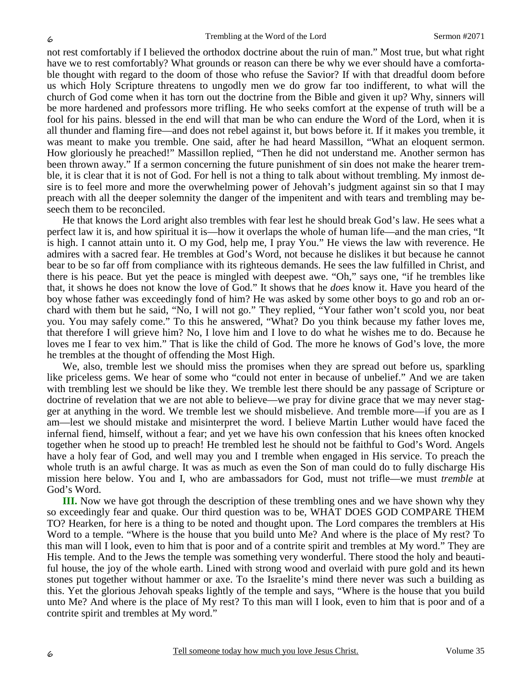not rest comfortably if I believed the orthodox doctrine about the ruin of man." Most true, but what right have we to rest comfortably? What grounds or reason can there be why we ever should have a comfortable thought with regard to the doom of those who refuse the Savior? If with that dreadful doom before us which Holy Scripture threatens to ungodly men we do grow far too indifferent, to what will the church of God come when it has torn out the doctrine from the Bible and given it up? Why, sinners will be more hardened and professors more trifling. He who seeks comfort at the expense of truth will be a fool for his pains. blessed in the end will that man be who can endure the Word of the Lord, when it is all thunder and flaming fire—and does not rebel against it, but bows before it. If it makes you tremble, it was meant to make you tremble. One said, after he had heard Massillon, "What an eloquent sermon. How gloriously he preached!" Massillon replied, "Then he did not understand me. Another sermon has been thrown away." If a sermon concerning the future punishment of sin does not make the hearer tremble, it is clear that it is not of God. For hell is not a thing to talk about without trembling. My inmost desire is to feel more and more the overwhelming power of Jehovah's judgment against sin so that I may preach with all the deeper solemnity the danger of the impenitent and with tears and trembling may beseech them to be reconciled.

He that knows the Lord aright also trembles with fear lest he should break God's law. He sees what a perfect law it is, and how spiritual it is—how it overlaps the whole of human life—and the man cries, "It is high. I cannot attain unto it. O my God, help me, I pray You." He views the law with reverence. He admires with a sacred fear. He trembles at God's Word, not because he dislikes it but because he cannot bear to be so far off from compliance with its righteous demands. He sees the law fulfilled in Christ, and there is his peace. But yet the peace is mingled with deepest awe. "Oh," says one, "if he trembles like that, it shows he does not know the love of God." It shows that he *does* know it. Have you heard of the boy whose father was exceedingly fond of him? He was asked by some other boys to go and rob an orchard with them but he said, "No, I will not go." They replied, "Your father won't scold you, nor beat you. You may safely come." To this he answered, "What? Do you think because my father loves me, that therefore I will grieve him? No, I love him and I love to do what he wishes me to do. Because he loves me I fear to vex him." That is like the child of God. The more he knows of God's love, the more he trembles at the thought of offending the Most High.

We, also, tremble lest we should miss the promises when they are spread out before us, sparkling like priceless gems. We hear of some who "could not enter in because of unbelief." And we are taken with trembling lest we should be like they. We tremble lest there should be any passage of Scripture or doctrine of revelation that we are not able to believe—we pray for divine grace that we may never stagger at anything in the word. We tremble lest we should misbelieve. And tremble more—if you are as I am—lest we should mistake and misinterpret the word. I believe Martin Luther would have faced the infernal fiend, himself, without a fear; and yet we have his own confession that his knees often knocked together when he stood up to preach! He trembled lest he should not be faithful to God's Word. Angels have a holy fear of God, and well may you and I tremble when engaged in His service. To preach the whole truth is an awful charge. It was as much as even the Son of man could do to fully discharge His mission here below. You and I, who are ambassadors for God, must not trifle—we must *tremble* at God's Word.

**III.** Now we have got through the description of these trembling ones and we have shown why they so exceedingly fear and quake. Our third question was to be, WHAT DOES GOD COMPARE THEM TO? Hearken, for here is a thing to be noted and thought upon. The Lord compares the tremblers at His Word to a temple. "Where is the house that you build unto Me? And where is the place of My rest? To this man will I look, even to him that is poor and of a contrite spirit and trembles at My word." They are His temple. And to the Jews the temple was something very wonderful. There stood the holy and beautiful house, the joy of the whole earth. Lined with strong wood and overlaid with pure gold and its hewn stones put together without hammer or axe. To the Israelite's mind there never was such a building as this. Yet the glorious Jehovah speaks lightly of the temple and says, "Where is the house that you build unto Me? And where is the place of My rest? To this man will I look, even to him that is poor and of a contrite spirit and trembles at My word."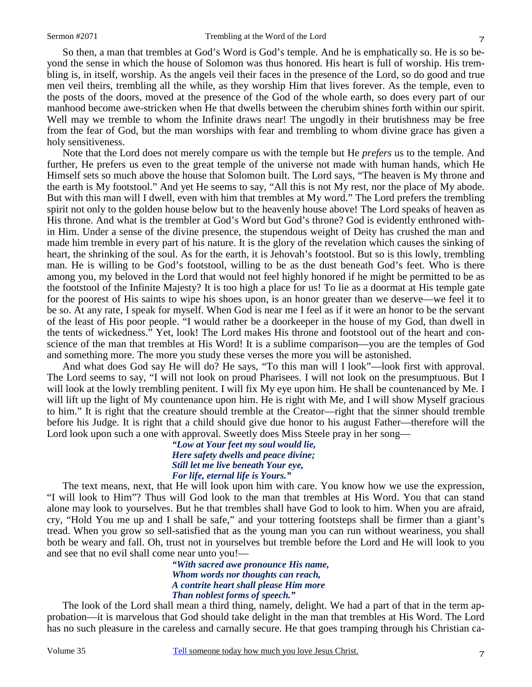So then, a man that trembles at God's Word is God's temple. And he is emphatically so. He is so beyond the sense in which the house of Solomon was thus honored. His heart is full of worship. His trembling is, in itself, worship. As the angels veil their faces in the presence of the Lord, so do good and true men veil theirs, trembling all the while, as they worship Him that lives forever. As the temple, even to the posts of the doors, moved at the presence of the God of the whole earth, so does every part of our manhood become awe-stricken when He that dwells between the cherubim shines forth within our spirit. Well may we tremble to whom the Infinite draws near! The ungodly in their brutishness may be free from the fear of God, but the man worships with fear and trembling to whom divine grace has given a holy sensitiveness.

Note that the Lord does not merely compare us with the temple but He *prefers* us to the temple. And further, He prefers us even to the great temple of the universe not made with human hands, which He Himself sets so much above the house that Solomon built. The Lord says, "The heaven is My throne and the earth is My footstool." And yet He seems to say, "All this is not My rest, nor the place of My abode. But with this man will I dwell, even with him that trembles at My word." The Lord prefers the trembling spirit not only to the golden house below but to the heavenly house above! The Lord speaks of heaven as His throne. And what is the trembler at God's Word but God's throne? God is evidently enthroned within Him. Under a sense of the divine presence, the stupendous weight of Deity has crushed the man and made him tremble in every part of his nature. It is the glory of the revelation which causes the sinking of heart, the shrinking of the soul. As for the earth, it is Jehovah's footstool. But so is this lowly, trembling man. He is willing to be God's footstool, willing to be as the dust beneath God's feet. Who is there among you, my beloved in the Lord that would not feel highly honored if he might be permitted to be as the footstool of the Infinite Majesty? It is too high a place for us! To lie as a doormat at His temple gate for the poorest of His saints to wipe his shoes upon, is an honor greater than we deserve—we feel it to be so. At any rate, I speak for myself. When God is near me I feel as if it were an honor to be the servant of the least of His poor people. "I would rather be a doorkeeper in the house of my God, than dwell in the tents of wickedness." Yet, look! The Lord makes His throne and footstool out of the heart and conscience of the man that trembles at His Word! It is a sublime comparison—you are the temples of God and something more. The more you study these verses the more you will be astonished.

And what does God say He will do? He says, "To this man will I look"—look first with approval. The Lord seems to say, "I will not look on proud Pharisees. I will not look on the presumptuous. But I will look at the lowly trembling penitent. I will fix My eye upon him. He shall be countenanced by Me. I will lift up the light of My countenance upon him. He is right with Me, and I will show Myself gracious to him." It is right that the creature should tremble at the Creator—right that the sinner should tremble before his Judge. It is right that a child should give due honor to his august Father—therefore will the Lord look upon such a one with approval. Sweetly does Miss Steele pray in her song—

> *"Low at Your feet my soul would lie, Here safety dwells and peace divine; Still let me live beneath Your eye, For life, eternal life is Yours."*

The text means, next, that He will look upon him with care. You know how we use the expression, "I will look to Him"? Thus will God look to the man that trembles at His Word. You that can stand alone may look to yourselves. But he that trembles shall have God to look to him. When you are afraid, cry, "Hold You me up and I shall be safe," and your tottering footsteps shall be firmer than a giant's tread. When you grow so sell-satisfied that as the young man you can run without weariness, you shall both be weary and fall. Oh, trust not in yourselves but tremble before the Lord and He will look to you and see that no evil shall come near unto you!—

> *"With sacred awe pronounce His name, Whom words nor thoughts can reach, A contrite heart shall please Him more Than noblest forms of speech."*

The look of the Lord shall mean a third thing, namely, delight. We had a part of that in the term approbation—it is marvelous that God should take delight in the man that trembles at His Word. The Lord has no such pleasure in the careless and carnally secure. He that goes tramping through his Christian ca